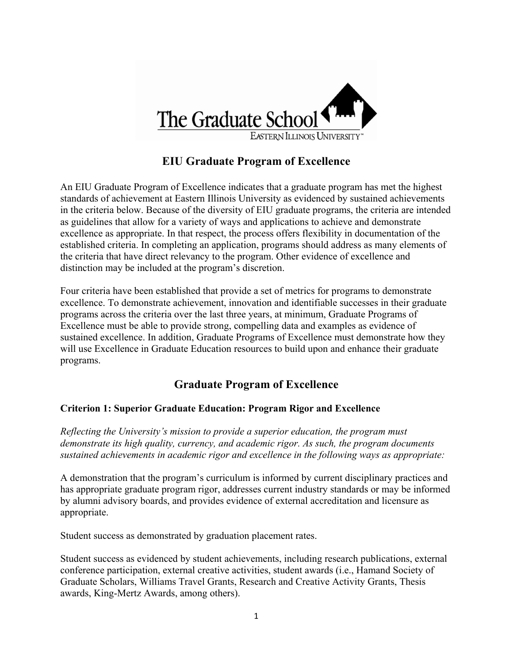

# **EIU Graduate Program of Excellence**

An EIU Graduate Program of Excellence indicates that a graduate program has met the highest standards of achievement at Eastern Illinois University as evidenced by sustained achievements in the criteria below. Because of the diversity of EIU graduate programs, the criteria are intended as guidelines that allow for a variety of ways and applications to achieve and demonstrate excellence as appropriate. In that respect, the process offers flexibility in documentation of the established criteria. In completing an application, programs should address as many elements of the criteria that have direct relevancy to the program. Other evidence of excellence and distinction may be included at the program's discretion.

Four criteria have been established that provide a set of metrics for programs to demonstrate excellence. To demonstrate achievement, innovation and identifiable successes in their graduate programs across the criteria over the last three years, at minimum, Graduate Programs of Excellence must be able to provide strong, compelling data and examples as evidence of sustained excellence. In addition, Graduate Programs of Excellence must demonstrate how they will use Excellence in Graduate Education resources to build upon and enhance their graduate programs.

## **Graduate Program of Excellence**

## **Criterion 1: Superior Graduate Education: Program Rigor and Excellence**

*Reflecting the University's mission to provide a superior education, the program must demonstrate its high quality, currency, and academic rigor. As such, the program documents sustained achievements in academic rigor and excellence in the following ways as appropriate:* 

A demonstration that the program's curriculum is informed by current disciplinary practices and has appropriate graduate program rigor, addresses current industry standards or may be informed by alumni advisory boards, and provides evidence of external accreditation and licensure as appropriate.

Student success as demonstrated by graduation placement rates.

Student success as evidenced by student achievements, including research publications, external conference participation, external creative activities, student awards (i.e., Hamand Society of Graduate Scholars, Williams Travel Grants, Research and Creative Activity Grants, Thesis awards, King-Mertz Awards, among others).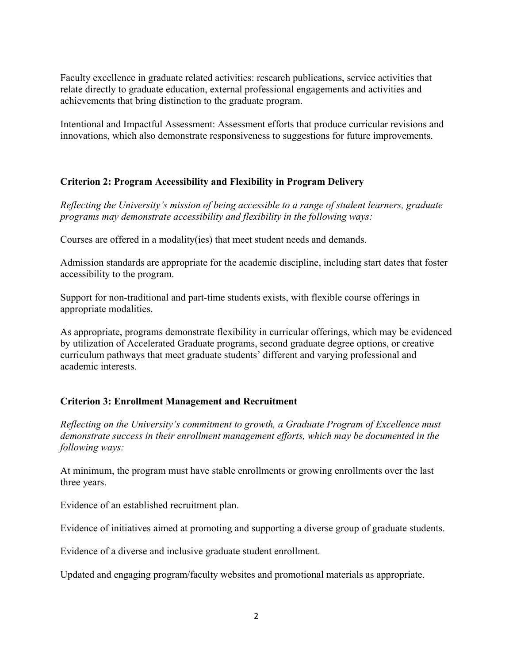Faculty excellence in graduate related activities: research publications, service activities that relate directly to graduate education, external professional engagements and activities and achievements that bring distinction to the graduate program.

Intentional and Impactful Assessment: Assessment efforts that produce curricular revisions and innovations, which also demonstrate responsiveness to suggestions for future improvements.

## **Criterion 2: Program Accessibility and Flexibility in Program Delivery**

*Reflecting the University's mission of being accessible to a range of student learners, graduate programs may demonstrate accessibility and flexibility in the following ways:*

Courses are offered in a modality(ies) that meet student needs and demands.

Admission standards are appropriate for the academic discipline, including start dates that foster accessibility to the program.

Support for non-traditional and part-time students exists, with flexible course offerings in appropriate modalities.

As appropriate, programs demonstrate flexibility in curricular offerings, which may be evidenced by utilization of Accelerated Graduate programs, second graduate degree options, or creative curriculum pathways that meet graduate students' different and varying professional and academic interests.

## **Criterion 3: Enrollment Management and Recruitment**

*Reflecting on the University's commitment to growth, a Graduate Program of Excellence must demonstrate success in their enrollment management efforts, which may be documented in the following ways:* 

At minimum, the program must have stable enrollments or growing enrollments over the last three years.

Evidence of an established recruitment plan.

Evidence of initiatives aimed at promoting and supporting a diverse group of graduate students.

Evidence of a diverse and inclusive graduate student enrollment.

Updated and engaging program/faculty websites and promotional materials as appropriate.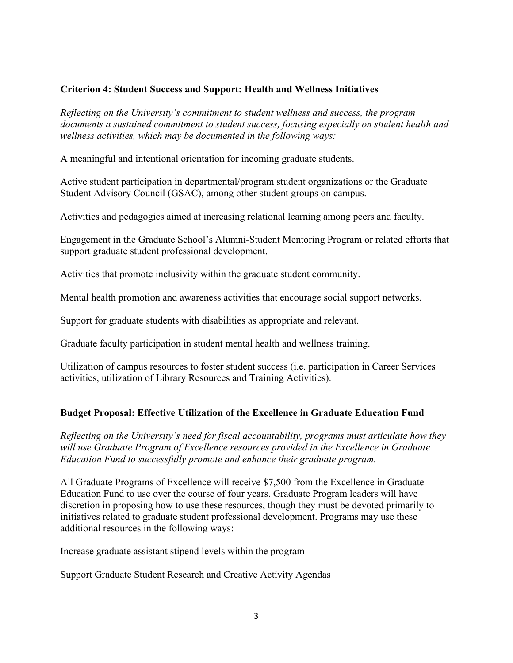## **Criterion 4: Student Success and Support: Health and Wellness Initiatives**

*Reflecting on the University's commitment to student wellness and success, the program documents a sustained commitment to student success, focusing especially on student health and wellness activities, which may be documented in the following ways:* 

A meaningful and intentional orientation for incoming graduate students.

Active student participation in departmental/program student organizations or the Graduate Student Advisory Council (GSAC), among other student groups on campus.

Activities and pedagogies aimed at increasing relational learning among peers and faculty.

Engagement in the Graduate School's Alumni-Student Mentoring Program or related efforts that support graduate student professional development.

Activities that promote inclusivity within the graduate student community.

Mental health promotion and awareness activities that encourage social support networks.

Support for graduate students with disabilities as appropriate and relevant.

Graduate faculty participation in student mental health and wellness training.

Utilization of campus resources to foster student success (i.e. participation in Career Services activities, utilization of Library Resources and Training Activities).

### **Budget Proposal: Effective Utilization of the Excellence in Graduate Education Fund**

*Reflecting on the University's need for fiscal accountability, programs must articulate how they will use Graduate Program of Excellence resources provided in the Excellence in Graduate Education Fund to successfully promote and enhance their graduate program.* 

All Graduate Programs of Excellence will receive \$7,500 from the Excellence in Graduate Education Fund to use over the course of four years. Graduate Program leaders will have discretion in proposing how to use these resources, though they must be devoted primarily to initiatives related to graduate student professional development. Programs may use these additional resources in the following ways:

Increase graduate assistant stipend levels within the program

Support Graduate Student Research and Creative Activity Agendas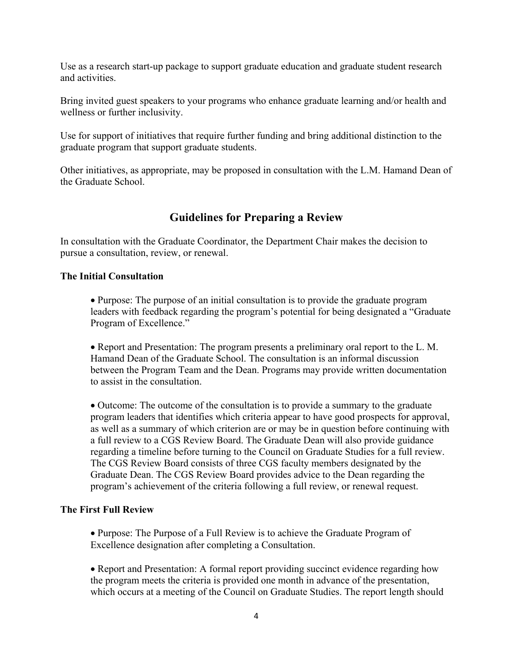Use as a research start-up package to support graduate education and graduate student research and activities.

Bring invited guest speakers to your programs who enhance graduate learning and/or health and wellness or further inclusivity.

Use for support of initiatives that require further funding and bring additional distinction to the graduate program that support graduate students.

Other initiatives, as appropriate, may be proposed in consultation with the L.M. Hamand Dean of the Graduate School.

# **Guidelines for Preparing a Review**

In consultation with the Graduate Coordinator, the Department Chair makes the decision to pursue a consultation, review, or renewal.

### **The Initial Consultation**

 Purpose: The purpose of an initial consultation is to provide the graduate program leaders with feedback regarding the program's potential for being designated a "Graduate Program of Excellence."

 Report and Presentation: The program presents a preliminary oral report to the L. M. Hamand Dean of the Graduate School. The consultation is an informal discussion between the Program Team and the Dean. Programs may provide written documentation to assist in the consultation.

• Outcome: The outcome of the consultation is to provide a summary to the graduate program leaders that identifies which criteria appear to have good prospects for approval, as well as a summary of which criterion are or may be in question before continuing with a full review to a CGS Review Board. The Graduate Dean will also provide guidance regarding a timeline before turning to the Council on Graduate Studies for a full review. The CGS Review Board consists of three CGS faculty members designated by the Graduate Dean. The CGS Review Board provides advice to the Dean regarding the program's achievement of the criteria following a full review, or renewal request.

### **The First Full Review**

• Purpose: The Purpose of a Full Review is to achieve the Graduate Program of Excellence designation after completing a Consultation.

 Report and Presentation: A formal report providing succinct evidence regarding how the program meets the criteria is provided one month in advance of the presentation, which occurs at a meeting of the Council on Graduate Studies. The report length should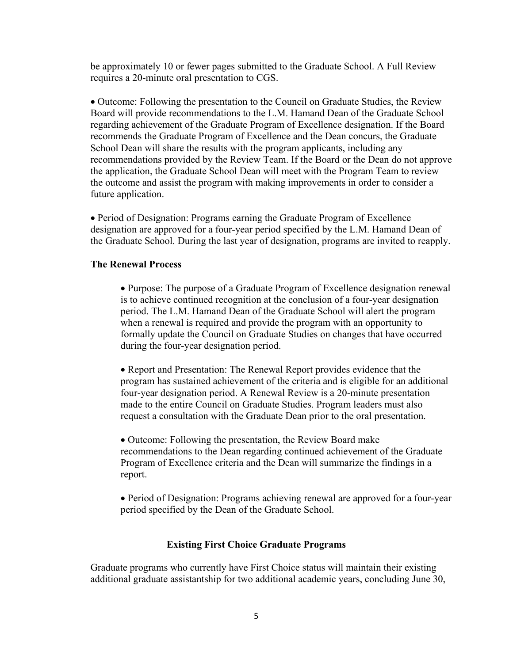be approximately 10 or fewer pages submitted to the Graduate School. A Full Review requires a 20-minute oral presentation to CGS.

 Outcome: Following the presentation to the Council on Graduate Studies, the Review Board will provide recommendations to the L.M. Hamand Dean of the Graduate School regarding achievement of the Graduate Program of Excellence designation. If the Board recommends the Graduate Program of Excellence and the Dean concurs, the Graduate School Dean will share the results with the program applicants, including any recommendations provided by the Review Team. If the Board or the Dean do not approve the application, the Graduate School Dean will meet with the Program Team to review the outcome and assist the program with making improvements in order to consider a future application.

 Period of Designation: Programs earning the Graduate Program of Excellence designation are approved for a four-year period specified by the L.M. Hamand Dean of the Graduate School. During the last year of designation, programs are invited to reapply.

#### **The Renewal Process**

 Purpose: The purpose of a Graduate Program of Excellence designation renewal is to achieve continued recognition at the conclusion of a four-year designation period. The L.M. Hamand Dean of the Graduate School will alert the program when a renewal is required and provide the program with an opportunity to formally update the Council on Graduate Studies on changes that have occurred during the four-year designation period.

• Report and Presentation: The Renewal Report provides evidence that the program has sustained achievement of the criteria and is eligible for an additional four-year designation period. A Renewal Review is a 20-minute presentation made to the entire Council on Graduate Studies. Program leaders must also request a consultation with the Graduate Dean prior to the oral presentation.

• Outcome: Following the presentation, the Review Board make recommendations to the Dean regarding continued achievement of the Graduate Program of Excellence criteria and the Dean will summarize the findings in a report.

 Period of Designation: Programs achieving renewal are approved for a four-year period specified by the Dean of the Graduate School.

#### **Existing First Choice Graduate Programs**

Graduate programs who currently have First Choice status will maintain their existing additional graduate assistantship for two additional academic years, concluding June 30,